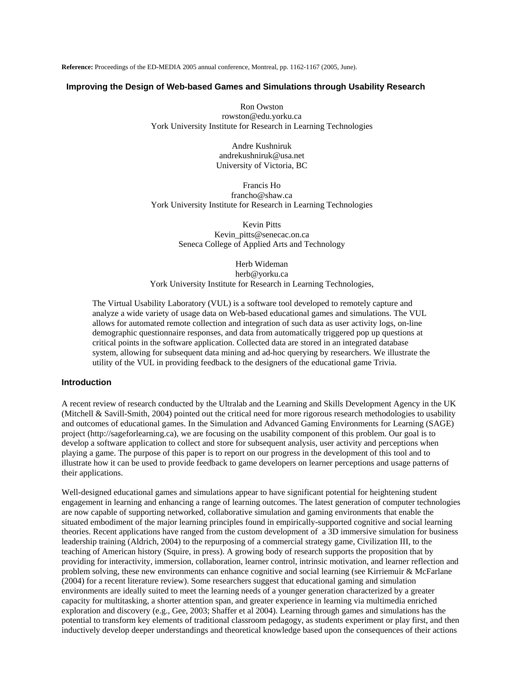**Reference:** Proceedings of the ED-MEDIA 2005 annual conference, Montreal, pp. 1162-1167 (2005, June).

#### **Improving the Design of Web-based Games and Simulations through Usability Research**

Ron Owston rowston@edu.yorku.ca York University Institute for Research in Learning Technologies

> Andre Kushniruk andrekushniruk@usa.net University of Victoria, BC

Francis Ho francho@shaw.ca York University Institute for Research in Learning Technologies

> Kevin Pitts Kevin\_pitts@senecac.on.ca Seneca College of Applied Arts and Technology

Herb Wideman herb@yorku.ca York University Institute for Research in Learning Technologies,

The Virtual Usability Laboratory (VUL) is a software tool developed to remotely capture and analyze a wide variety of usage data on Web-based educational games and simulations. The VUL allows for automated remote collection and integration of such data as user activity logs, on-line demographic questionnaire responses, and data from automatically triggered pop up questions at critical points in the software application. Collected data are stored in an integrated database system, allowing for subsequent data mining and ad-hoc querying by researchers. We illustrate the utility of the VUL in providing feedback to the designers of the educational game Trivia.

#### **Introduction**

A recent review of research conducted by the Ultralab and the Learning and Skills Development Agency in the UK (Mitchell & Savill-Smith, 2004) pointed out the critical need for more rigorous research methodologies to usability and outcomes of educational games. In the Simulation and Advanced Gaming Environments for Learning (SAGE) project (http://sageforlearning.ca), we are focusing on the usability component of this problem. Our goal is to develop a software application to collect and store for subsequent analysis, user activity and perceptions when playing a game. The purpose of this paper is to report on our progress in the development of this tool and to illustrate how it can be used to provide feedback to game developers on learner perceptions and usage patterns of their applications.

Well-designed educational games and simulations appear to have significant potential for heightening student engagement in learning and enhancing a range of learning outcomes. The latest generation of computer technologies are now capable of supporting networked, collaborative simulation and gaming environments that enable the situated embodiment of the major learning principles found in empirically-supported cognitive and social learning theories. Recent applications have ranged from the custom development of a 3D immersive simulation for business leadership training (Aldrich, 2004) to the repurposing of a commercial strategy game, Civilization III, to the teaching of American history (Squire, in press). A growing body of research supports the proposition that by providing for interactivity, immersion, collaboration, learner control, intrinsic motivation, and learner reflection and problem solving, these new environments can enhance cognitive and social learning (see Kirriemuir & McFarlane (2004) for a recent literature review). Some researchers suggest that educational gaming and simulation environments are ideally suited to meet the learning needs of a younger generation characterized by a greater capacity for multitasking, a shorter attention span, and greater experience in learning via multimedia enriched exploration and discovery (e.g., Gee, 2003; Shaffer et al 2004). Learning through games and simulations has the potential to transform key elements of traditional classroom pedagogy, as students experiment or play first, and then inductively develop deeper understandings and theoretical knowledge based upon the consequences of their actions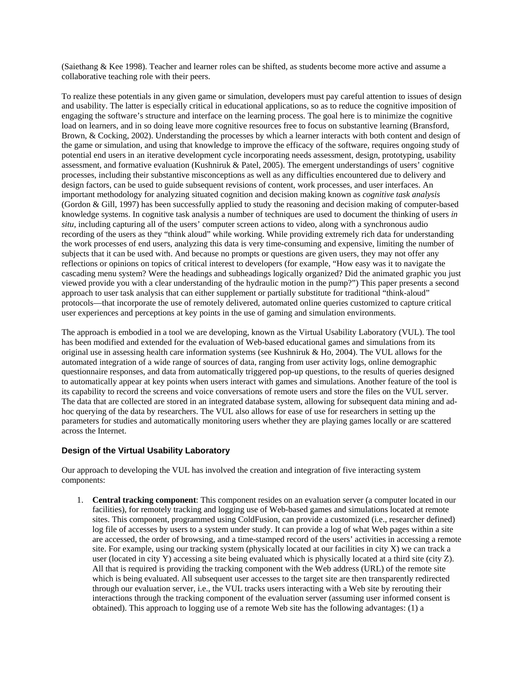(Saiethang & Kee 1998). Teacher and learner roles can be shifted, as students become more active and assume a collaborative teaching role with their peers.

To realize these potentials in any given game or simulation, developers must pay careful attention to issues of design and usability. The latter is especially critical in educational applications, so as to reduce the cognitive imposition of engaging the software's structure and interface on the learning process. The goal here is to minimize the cognitive load on learners, and in so doing leave more cognitive resources free to focus on substantive learning (Bransford, Brown, & Cocking, 2002). Understanding the processes by which a learner interacts with both content and design of the game or simulation, and using that knowledge to improve the efficacy of the software, requires ongoing study of potential end users in an iterative development cycle incorporating needs assessment, design, prototyping, usability assessment, and formative evaluation (Kushniruk & Patel, 2005). The emergent understandings of users' cognitive processes, including their substantive misconceptions as well as any difficulties encountered due to delivery and design factors, can be used to guide subsequent revisions of content, work processes, and user interfaces. An important methodology for analyzing situated cognition and decision making known as *cognitive task analysis*  (Gordon & Gill, 1997) has been successfully applied to study the reasoning and decision making of computer-based knowledge systems. In cognitive task analysis a number of techniques are used to document the thinking of users *in situ*, including capturing all of the users' computer screen actions to video, along with a synchronous audio recording of the users as they "think aloud" while working. While providing extremely rich data for understanding the work processes of end users, analyzing this data is very time-consuming and expensive, limiting the number of subjects that it can be used with. And because no prompts or questions are given users, they may not offer any reflections or opinions on topics of critical interest to developers (for example, "How easy was it to navigate the cascading menu system? Were the headings and subheadings logically organized? Did the animated graphic you just viewed provide you with a clear understanding of the hydraulic motion in the pump?") This paper presents a second approach to user task analysis that can either supplement or partially substitute for traditional "think-aloud" protocols—that incorporate the use of remotely delivered, automated online queries customized to capture critical user experiences and perceptions at key points in the use of gaming and simulation environments.

The approach is embodied in a tool we are developing, known as the Virtual Usability Laboratory (VUL). The tool has been modified and extended for the evaluation of Web-based educational games and simulations from its original use in assessing health care information systems (see Kushniruk & Ho, 2004). The VUL allows for the automated integration of a wide range of sources of data, ranging from user activity logs, online demographic questionnaire responses, and data from automatically triggered pop-up questions, to the results of queries designed to automatically appear at key points when users interact with games and simulations. Another feature of the tool is its capability to record the screens and voice conversations of remote users and store the files on the VUL server. The data that are collected are stored in an integrated database system, allowing for subsequent data mining and adhoc querying of the data by researchers. The VUL also allows for ease of use for researchers in setting up the parameters for studies and automatically monitoring users whether they are playing games locally or are scattered across the Internet.

### **Design of the Virtual Usability Laboratory**

Our approach to developing the VUL has involved the creation and integration of five interacting system components:

1. **Central tracking component**: This component resides on an evaluation server (a computer located in our facilities), for remotely tracking and logging use of Web-based games and simulations located at remote sites. This component, programmed using ColdFusion, can provide a customized (i.e., researcher defined) log file of accesses by users to a system under study. It can provide a log of what Web pages within a site are accessed, the order of browsing, and a time-stamped record of the users' activities in accessing a remote site. For example, using our tracking system (physically located at our facilities in city X) we can track a user (located in city Y) accessing a site being evaluated which is physically located at a third site (city Z). All that is required is providing the tracking component with the Web address (URL) of the remote site which is being evaluated. All subsequent user accesses to the target site are then transparently redirected through our evaluation server, i.e., the VUL tracks users interacting with a Web site by rerouting their interactions through the tracking component of the evaluation server (assuming user informed consent is obtained). This approach to logging use of a remote Web site has the following advantages: (1) a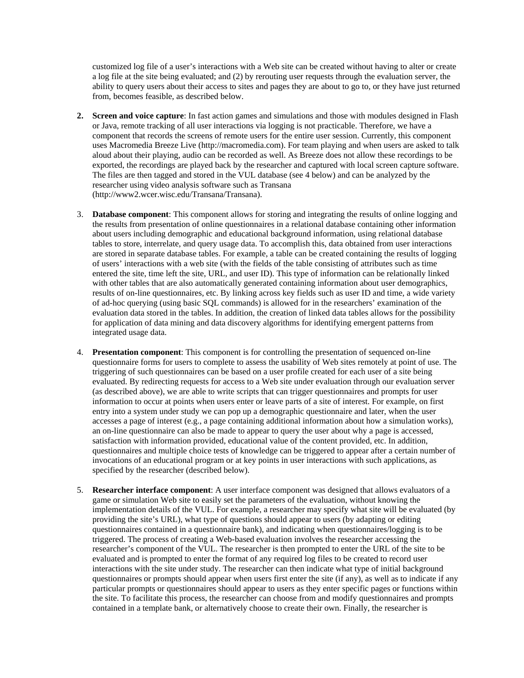customized log file of a user's interactions with a Web site can be created without having to alter or create a log file at the site being evaluated; and (2) by rerouting user requests through the evaluation server, the ability to query users about their access to sites and pages they are about to go to, or they have just returned from, becomes feasible, as described below.

- **2. Screen and voice capture**: In fast action games and simulations and those with modules designed in Flash or Java, remote tracking of all user interactions via logging is not practicable. Therefore, we have a component that records the screens of remote users for the entire user session. Currently, this component uses Macromedia Breeze Live (http://macromedia.com). For team playing and when users are asked to talk aloud about their playing, audio can be recorded as well. As Breeze does not allow these recordings to be exported, the recordings are played back by the researcher and captured with local screen capture software. The files are then tagged and stored in the VUL database (see 4 below) and can be analyzed by the researcher using video analysis software such as Transana (http://www2.wcer.wisc.edu/Transana/Transana).
- 3. **Database component**: This component allows for storing and integrating the results of online logging and the results from presentation of online questionnaires in a relational database containing other information about users including demographic and educational background information, using relational database tables to store, interrelate, and query usage data. To accomplish this, data obtained from user interactions are stored in separate database tables. For example, a table can be created containing the results of logging of users' interactions with a web site (with the fields of the table consisting of attributes such as time entered the site, time left the site, URL, and user ID). This type of information can be relationally linked with other tables that are also automatically generated containing information about user demographics, results of on-line questionnaires, etc. By linking across key fields such as user ID and time, a wide variety of ad-hoc querying (using basic SQL commands) is allowed for in the researchers' examination of the evaluation data stored in the tables. In addition, the creation of linked data tables allows for the possibility for application of data mining and data discovery algorithms for identifying emergent patterns from integrated usage data.
- 4. **Presentation component**: This component is for controlling the presentation of sequenced on-line questionnaire forms for users to complete to assess the usability of Web sites remotely at point of use. The triggering of such questionnaires can be based on a user profile created for each user of a site being evaluated. By redirecting requests for access to a Web site under evaluation through our evaluation server (as described above), we are able to write scripts that can trigger questionnaires and prompts for user information to occur at points when users enter or leave parts of a site of interest. For example, on first entry into a system under study we can pop up a demographic questionnaire and later, when the user accesses a page of interest (e.g., a page containing additional information about how a simulation works), an on-line questionnaire can also be made to appear to query the user about why a page is accessed, satisfaction with information provided, educational value of the content provided, etc. In addition, questionnaires and multiple choice tests of knowledge can be triggered to appear after a certain number of invocations of an educational program or at key points in user interactions with such applications, as specified by the researcher (described below).
- 5. **Researcher interface component**: A user interface component was designed that allows evaluators of a game or simulation Web site to easily set the parameters of the evaluation, without knowing the implementation details of the VUL. For example, a researcher may specify what site will be evaluated (by providing the site's URL), what type of questions should appear to users (by adapting or editing questionnaires contained in a questionnaire bank), and indicating when questionnaires/logging is to be triggered. The process of creating a Web-based evaluation involves the researcher accessing the researcher's component of the VUL. The researcher is then prompted to enter the URL of the site to be evaluated and is prompted to enter the format of any required log files to be created to record user interactions with the site under study. The researcher can then indicate what type of initial background questionnaires or prompts should appear when users first enter the site (if any), as well as to indicate if any particular prompts or questionnaires should appear to users as they enter specific pages or functions within the site. To facilitate this process, the researcher can choose from and modify questionnaires and prompts contained in a template bank, or alternatively choose to create their own. Finally, the researcher is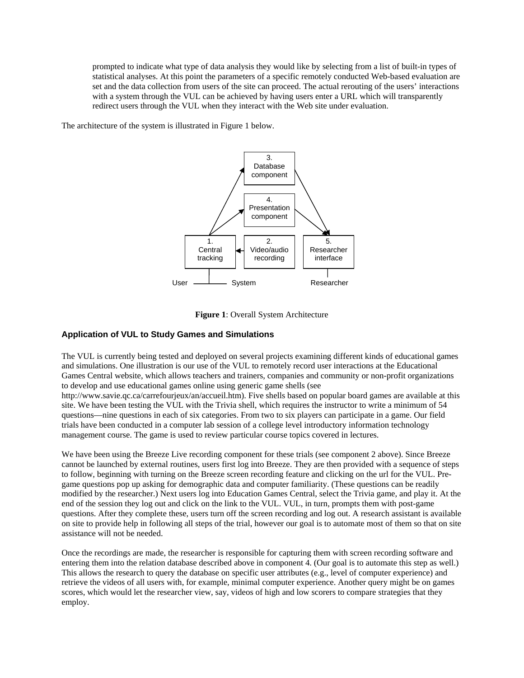prompted to indicate what type of data analysis they would like by selecting from a list of built-in types of statistical analyses. At this point the parameters of a specific remotely conducted Web-based evaluation are set and the data collection from users of the site can proceed. The actual rerouting of the users' interactions with a system through the VUL can be achieved by having users enter a URL which will transparently redirect users through the VUL when they interact with the Web site under evaluation.

The architecture of the system is illustrated in Figure 1 below.



**Figure 1**: Overall System Architecture

### **Application of VUL to Study Games and Simulations**

The VUL is currently being tested and deployed on several projects examining different kinds of educational games and simulations. One illustration is our use of the VUL to remotely record user interactions at the Educational Games Central website, which allows teachers and trainers, companies and community or non-profit organizations to develop and use educational games online using generic game shells (see

http://www.savie.qc.ca/carrefourjeux/an/accueil.htm). Five shells based on popular board games are available at this site. We have been testing the VUL with the Trivia shell, which requires the instructor to write a minimum of 54 questions—nine questions in each of six categories. From two to six players can participate in a game. Our field trials have been conducted in a computer lab session of a college level introductory information technology management course. The game is used to review particular course topics covered in lectures.

We have been using the Breeze Live recording component for these trials (see component 2 above). Since Breeze cannot be launched by external routines, users first log into Breeze. They are then provided with a sequence of steps to follow, beginning with turning on the Breeze screen recording feature and clicking on the url for the VUL. Pregame questions pop up asking for demographic data and computer familiarity. (These questions can be readily modified by the researcher.) Next users log into Education Games Central, select the Trivia game, and play it. At the end of the session they log out and click on the link to the VUL. VUL, in turn, prompts them with post-game questions. After they complete these, users turn off the screen recording and log out. A research assistant is available on site to provide help in following all steps of the trial, however our goal is to automate most of them so that on site assistance will not be needed.

Once the recordings are made, the researcher is responsible for capturing them with screen recording software and entering them into the relation database described above in component 4. (Our goal is to automate this step as well.) This allows the research to query the database on specific user attributes (e.g., level of computer experience) and retrieve the videos of all users with, for example, minimal computer experience. Another query might be on games scores, which would let the researcher view, say, videos of high and low scorers to compare strategies that they employ.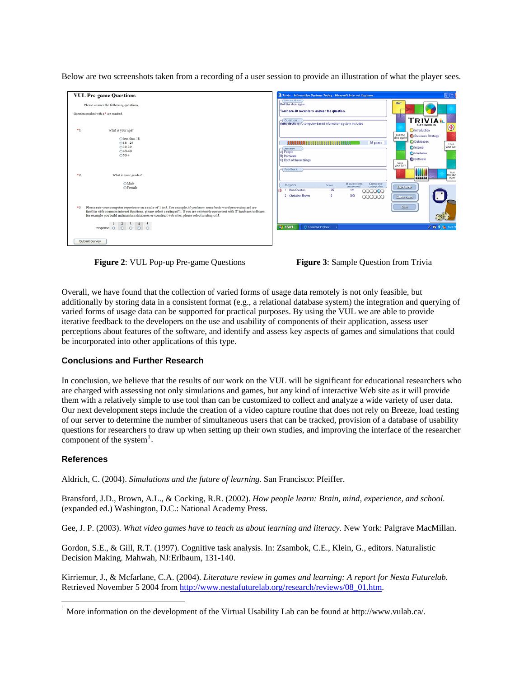Below are two screenshots taken from a recording of a user session to provide an illustration of what the player sees.

| Please answer the following questions. |                                                                                                                                                                                                                                                                                                                                                                                           |
|----------------------------------------|-------------------------------------------------------------------------------------------------------------------------------------------------------------------------------------------------------------------------------------------------------------------------------------------------------------------------------------------------------------------------------------------|
|                                        | Questions marked with a * are required.                                                                                                                                                                                                                                                                                                                                                   |
| *1.                                    | What is your age?                                                                                                                                                                                                                                                                                                                                                                         |
|                                        | Oless than 18<br>$O18 - 29$<br>$O$ 30-39<br>$O$ 40-49<br>$0.50 +$                                                                                                                                                                                                                                                                                                                         |
| +2.                                    | What is your gender?<br>OMale<br>O Female                                                                                                                                                                                                                                                                                                                                                 |
|                                        | *3. Please rate your computer experience on a scale of 1 to 5. For example, if you know some basic word processing and are<br>familiar with common internet functions, please select a rating of 1. If you are extremely competent with IT hardware/software,<br>for example you build and maintain databases or construct web sites, please select a rating of 5.<br>$1 \t2 \t3 \t4 \t5$ |
|                                        | response O O O O O                                                                                                                                                                                                                                                                                                                                                                        |



**Figure 2**: VUL Pop-up Pre-game Questions **Figure 3**: Sample Question from Trivia



Overall, we have found that the collection of varied forms of usage data remotely is not only feasible, but additionally by storing data in a consistent format (e.g., a relational database system) the integration and querying of varied forms of usage data can be supported for practical purposes. By using the VUL we are able to provide iterative feedback to the developers on the use and usability of components of their application, assess user perceptions about features of the software, and identify and assess key aspects of games and simulations that could be incorporated into other applications of this type.

# **Conclusions and Further Research**

In conclusion, we believe that the results of our work on the VUL will be significant for educational researchers who are charged with assessing not only simulations and games, but any kind of interactive Web site as it will provide them with a relatively simple to use tool than can be customized to collect and analyze a wide variety of user data. Our next development steps include the creation of a video capture routine that does not rely on Breeze, load testing of our server to determine the number of simultaneous users that can be tracked, provision of a database of usability questions for researchers to draw up when setting up their own studies, and improving the interface of the researcher component of the system $<sup>1</sup>$  $<sup>1</sup>$  $<sup>1</sup>$ .</sup>

# **References**

 $\overline{a}$ 

Aldrich, C. (2004). *Simulations and the future of learning.* San Francisco: Pfeiffer.

Bransford, J.D., Brown, A.L., & Cocking, R.R. (2002). *How people learn: Brain, mind, experience, and school*. (expanded ed.) Washington, D.C.: National Academy Press.

Gee, J. P. (2003). *What video games have to teach us about learning and literacy.* New York: Palgrave MacMillan.

Gordon, S.E., & Gill, R.T. (1997). Cognitive task analysis. In: Zsambok, C.E., Klein, G., editors. Naturalistic Decision Making. Mahwah, NJ:Erlbaum, 131-140.

Kirriemur, J., & Mcfarlane, C.A. (2004). *Literature review in games and learning: A report for Nesta Futurelab.*  Retrieved November 5 2004 from [http://www.nestafuturelab.org/research/reviews/08\\_01.htm](http://www.nestafuturelab.org/research/reviews/08_01.htm).

<span id="page-4-0"></span><sup>&</sup>lt;sup>1</sup> More information on the development of the Virtual Usability Lab can be found at http://www.vulab.ca/.